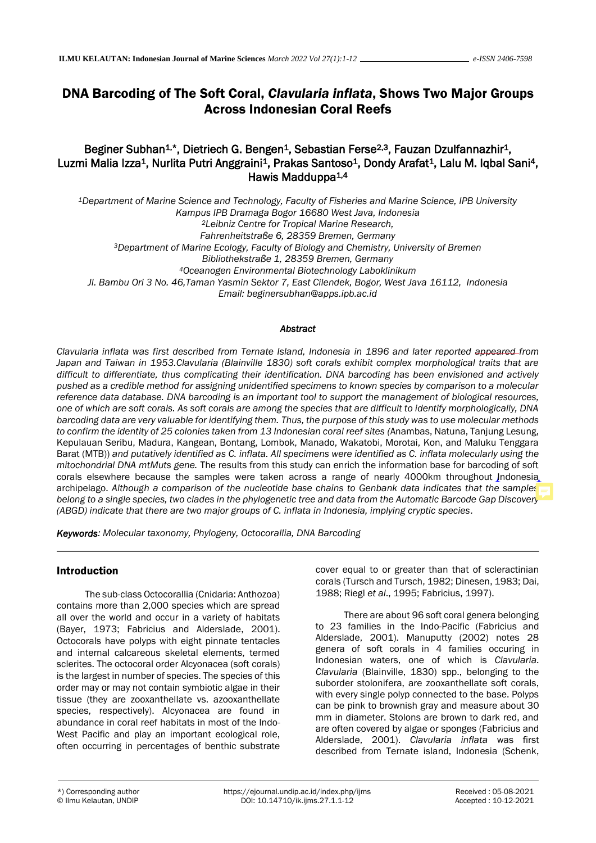# DNA Barcoding of The Soft Coral, *Clavularia inflata*, Shows Two Major Groups Across Indonesian Coral Reefs

# Beginer Subhan<sup>1,\*</sup>, Dietriech G. Bengen<sup>1</sup>, Sebastian Ferse<sup>2,3</sup>, Fauzan Dzulfannazhir<sup>1</sup>, Luzmi Malia Izza<sup>1</sup>, Nurlita Putri Anggraini<sup>1</sup>, Prakas Santoso<sup>1</sup>, Dondy Arafat<sup>1</sup>, Lalu M. Iqbal Sani<sup>4</sup>, Hawis Madduppa<sup>1,4</sup>

*<sup>1</sup>Department of Marine Science and Technology, Faculty of Fisheries and Marine Science, IPB University Kampus IPB Dramaga Bogor 16680 West Java, Indonesia <sup>2</sup>Leibniz Centre for Tropical Marine Research, Fahrenheitstraße 6, 28359 Bremen, Germany <sup>3</sup>Department of Marine Ecology, Faculty of Biology and Chemistry, University of Bremen Bibliothekstraße 1, 28359 Bremen, Germany <sup>4</sup>Oceanogen Environmental Biotechnology Laboklinikum Jl. Bambu Ori 3 No. 46,Taman Yasmin Sektor 7, East Cilendek, Bogor, West Java 16112, Indonesia Email: beginersubhan@apps.ipb.ac.id* 

#### *Abstract*

*Clavularia inflata was first described from Ternate Island, Indonesia in 1896 and later reported appeared from Japan and Taiwan in 1953.Clavularia (Blainville 1830) soft corals exhibit complex morphological traits that are difficult to differentiate, thus complicating their identification. DNA barcoding has been envisioned and actively pushed as a credible method for assigning unidentified specimens to known species by comparison to a molecular reference data database. DNA barcoding is an important tool to support the management of biological resources, one of which are soft corals. As soft corals are among the species that are difficult to identify morphologically, DNA barcoding data are very valuable for identifying them. Thus, the purpose of this study was to use molecular methods to confirm the identity of 25 colonies taken from 13 Indonesian coral reef sites (*Anambas, Natuna, Tanjung Lesung, Kepulauan Seribu, Madura, Kangean, Bontang, Lombok, Manado, Wakatobi, Morotai, Kon, and Maluku Tenggara Barat (MTB)) *and putatively identified as C. inflata. All specimens were identified as C. inflata molecularly using the mitochondrial DNA mtMuts gene.* The results from this study can enrich the information base for barcoding of soft corals elsewhere because the samples were taken across a range of nearly 4000km throughout Indonesia archipelago. *Although a comparison of the nucleotide base chains to Genbank data indicates that the samples belong to a single species, two clades in the phylogenetic tree and data from the Automatic Barcode Gap Discovery (ABGD) indicate that there are two major groups of C. inflata in Indonesia, implying cryptic species.*

*Keywords: Molecular taxonomy, Phylogeny, Octocorallia, DNA Barcoding*

### Introduction

The sub-class Octocorallia (Cnidaria: Anthozoa) contains more than 2,000 species which are spread all over the world and occur in a variety of habitats (Bayer, 1973; Fabricius and Alderslade, 2001). Octocorals have polyps with eight pinnate tentacles and internal calcareous skeletal elements, termed sclerites. The octocoral order Alcyonacea (soft corals) is the largest in number of species. The species of this order may or may not contain symbiotic algae in their tissue (they are zooxanthellate vs. azooxanthellate species, respectively). Alcyonacea are found in abundance in coral reef habitats in most of the Indo-West Pacific and play an important ecological role, often occurring in percentages of benthic substrate

cover equal to or greater than that of scleractinian corals (Tursch and Tursch, 1982; Dinesen, 1983; Dai, 1988; Riegl *et al*., 1995; Fabricius, 1997).

There are about 96 soft coral genera belonging to 23 families in the Indo-Pacific (Fabricius and Alderslade, 2001). Manuputty (2002) notes 28 genera of soft corals in 4 families occuring in Indonesian waters, one of which is *Clavularia*. *Clavularia* (Blainville, 1830) spp., belonging to the suborder stolonifera, are zooxanthellate soft corals, with every single polyp connected to the base. Polyps can be pink to brownish gray and measure about 30 mm in diameter. Stolons are brown to dark red, and are often covered by algae or sponges (Fabricius and Alderslade, 2001). *Clavularia inflata* was first described from Ternate island, Indonesia (Schenk,

 $\ddot{\phantom{0}}$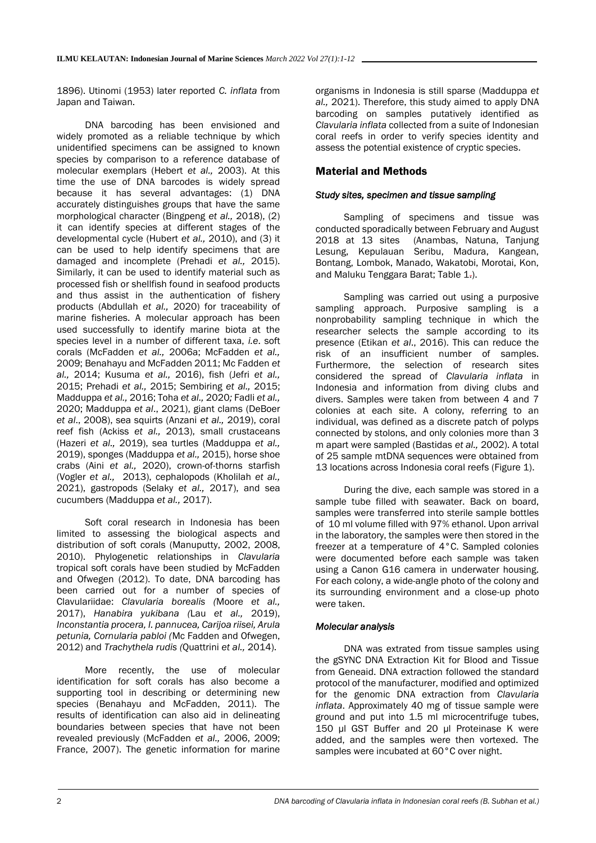1896). Utinomi (1953) later reported *C. inflata* from Japan and Taiwan.

DNA barcoding has been envisioned and widely promoted as a reliable technique by which unidentified specimens can be assigned to known species by comparison to a reference database of molecular exemplars (Hebert *et al.,* 2003). At this time the use of DNA barcodes is widely spread because it has several advantages: (1) DNA accurately distinguishes groups that have the same morphological character (Bingpeng *et al.,* 2018), (2) it can identify species at different stages of the developmental cycle (Hubert *et al.,* 2010), and (3) it can be used to help identify specimens that are damaged and incomplete (Prehadi *et al.,* 2015). Similarly, it can be used to identify material such as processed fish or shellfish found in seafood products and thus assist in the authentication of fishery products (Abdullah *et al.,* 2020) for traceability of marine fisheries. A molecular approach has been used successfully to identify marine biota at the species level in a number of different taxa, *i.e*. soft corals (McFadden *et al.,* 2006a; McFadden *et al.,* 2009; Benahayu and McFadden 2011; Mc Fadden *et al.,* 2014; Kusuma *et al.,* 2016), fish (Jefri *et al.,* 2015; Prehadi *et al.,* 2015; Sembiring *et al.,* 2015; Madduppa *et al.,* 2016; Toha *et al.,* 2020*;* Fadli *et al.,* 2020; Madduppa *et al*., 2021), giant clams (DeBoer *et al*., 2008), sea squirts (Anzani *et al.,* 2019), coral reef fish (Ackiss *et al.,* 2013), small crustaceans (Hazeri *et al.,* 2019), sea turtles (Madduppa *et al.,* 2019), sponges (Madduppa *et al.,* 2015), horse shoe crabs (Aini *et al.,* 2020), crown-of-thorns starfish (Vogler *et al.,* 2013), cephalopods (Kholilah *et al.,* 2021), gastropods (Selaky *et al.,* 2017), and sea cucumbers (Madduppa *et al.,* 2017).

Soft coral research in Indonesia has been limited to assessing the biological aspects and distribution of soft corals (Manuputty, 2002, 2008, 2010). Phylogenetic relationships in *Clavularia* tropical soft corals have been studied by McFadden and Ofwegen (2012). To date, DNA barcoding has been carried out for a number of species of Clavulariidae: *Clavularia borealis (*Moore *et al.,* 2017), *Hanabira yukibana (*Lau *et al.,* 2019), *Inconstantia procera, I. pannucea, Carijoa riisei, Arula petunia, Cornularia pabloi (*Mc Fadden and Ofwegen, 2012) and *Trachythela rudis (*Quattrini *et al.,* 2014).

More recently, the use of molecular identification for soft corals has also become a supporting tool in describing or determining new species (Benahayu and McFadden, 2011). The results of identification can also aid in delineating boundaries between species that have not been revealed previously (McFadden *et al.,* 2006, 2009; France, 2007). The genetic information for marine

organisms in Indonesia is still sparse (Madduppa *et al.,* 2021). Therefore, this study aimed to apply DNA barcoding on samples putatively identified as *Clavularia inflata* collected from a suite of Indonesian coral reefs in order to verify species identity and assess the potential existence of cryptic species.

# Material and Methods

### *Study sites, specimen and tissue sampling*

Sampling of specimens and tissue was conducted sporadically between February and August 2018 at 13 sites (Anambas, Natuna, Tanjung Lesung, Kepulauan Seribu, Madura, Kangean, Bontang, Lombok, Manado, Wakatobi, Morotai, Kon, and Maluku Tenggara Barat; Table 1.).

Sampling was carried out using a purposive sampling approach. Purposive sampling is a nonprobability sampling technique in which the researcher selects the sample according to its presence (Etikan *et al*., 2016). This can reduce the risk of an insufficient number of samples. Furthermore, the selection of research sites considered the spread of *Clavularia inflata* in Indonesia and information from diving clubs and divers. Samples were taken from between 4 and 7 colonies at each site. A colony, referring to an individual, was defined as a discrete patch of polyps connected by stolons, and only colonies more than 3 m apart were sampled (Bastidas *et al.,* 2002). A total of 25 sample mtDNA sequences were obtained from 13 locations across Indonesia coral reefs (Figure 1).

During the dive, each sample was stored in a sample tube filled with seawater. Back on board, samples were transferred into sterile sample bottles of 10 ml volume filled with 97% ethanol. Upon arrival in the laboratory, the samples were then stored in the freezer at a temperature of 4°C. Sampled colonies were documented before each sample was taken using a Canon G16 camera in underwater housing. For each colony, a wide-angle photo of the colony and its surrounding environment and a close-up photo were taken.

### *Molecular analysis*

DNA was extrated from tissue samples using the gSYNC DNA Extraction Kit for Blood and Tissue from Geneaid. DNA extraction followed the standard protocol of the manufacturer, modified and optimized for the genomic DNA extraction from *Clavularia inflata*. Approximately 40 mg of tissue sample were ground and put into 1.5 ml microcentrifuge tubes, 150 µl GST Buffer and 20 µl Proteinase K were added, and the samples were then vortexed. The samples were incubated at 60°C over night.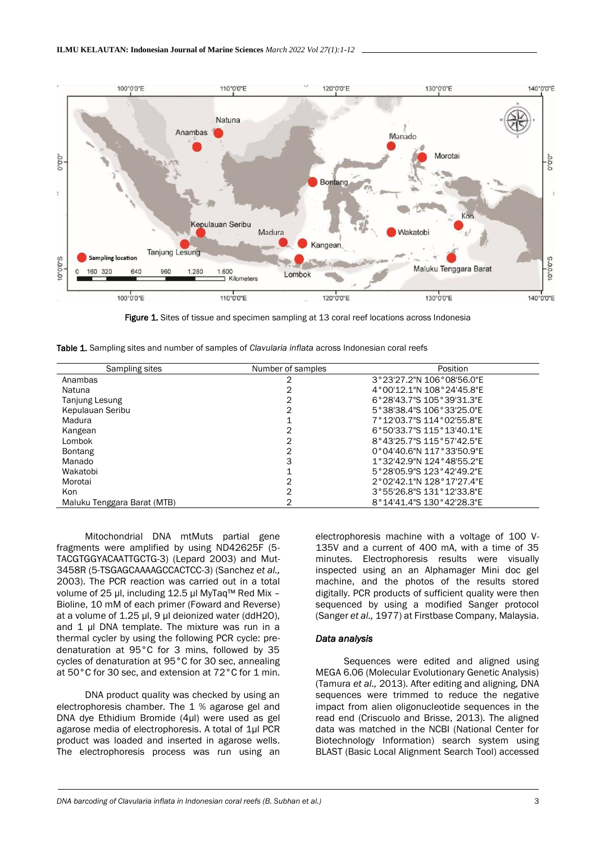

**Figure 1.** Sites of tissue and specimen sampling at 13 coral reef locations across Indonesia

Table 1. Sampling sites and number of samples of *Clavularia inflata* across Indonesian coral reefs

| Sampling sites              | Number of samples | Position                  |
|-----------------------------|-------------------|---------------------------|
| Anambas                     |                   | 3°23'27.2"N 106°08'56.0"E |
| Natuna                      |                   | 4°00'12.1"N 108°24'45.8"E |
| <b>Tanjung Lesung</b>       |                   | 6°28'43.7"S 105°39'31.3"E |
| Kepulauan Seribu            | 2                 | 5°38'38.4"S 106°33'25.0"E |
| Madura                      |                   | 7°12'03.7"S 114°02'55.8"E |
| Kangean                     | 2                 | 6°50'33.7"S 115°13'40.1"E |
| Lombok                      | 2                 | 8°43'25.7"S 115°57'42.5"E |
| <b>Bontang</b>              | 2                 | 0°04'40.6"N 117°33'50.9"E |
| Manado                      | 3                 | 1°32'42.9"N 124°48'55.2"E |
| Wakatobi                    |                   | 5°28'05.9"S 123°42'49.2"E |
| Morotai                     |                   | 2°02'42.1"N 128°17'27.4"F |
| Kon                         | 2                 | 3°55'26.8"S 131°12'33.8"E |
| Maluku Tenggara Barat (MTB) |                   | 8°14'41.4"S 130°42'28.3"E |

Mitochondrial DNA mtMuts partial gene fragments were amplified by using ND42625F (5- TACGTGGYACAATTGCTG-3) (Lepard 2003) and Mut-3458R (5-TSGAGCAAAAGCCACTCC-3) (Sanchez *et al.,* 2003). The PCR reaction was carried out in a total volume of 25 µl, including 12.5 µl MyTaq™ Red Mix – Bioline, 10 mM of each primer (Foward and Reverse) at a volume of 1.25 µl, 9 µl deionized water (ddH2O), and 1 µl DNA template. The mixture was run in a thermal cycler by using the following PCR cycle: predenaturation at 95°C for 3 mins, followed by 35 cycles of denaturation at 95°C for 30 sec, annealing at 50°C for 30 sec, and extension at 72°C for 1 min.

DNA product quality was checked by using an electrophoresis chamber. The 1 % agarose gel and DNA dye Ethidium Bromide (4μl) were used as gel agarose media of electrophoresis. A total of 1μl PCR product was loaded and inserted in agarose wells. The electrophoresis process was run using an electrophoresis machine with a voltage of 100 V-135V and a current of 400 mA, with a time of 35 minutes. Electrophoresis results were visually inspected using an an Alphamager Mini doc gel machine, and the photos of the results stored digitally. PCR products of sufficient quality were then sequenced by using a modified Sanger protocol (Sanger *et al.,* 1977) at Firstbase Company, Malaysia.

#### *Data analysis*

Sequences were edited and aligned using MEGA 6.06 (Molecular Evolutionary Genetic Analysis) (Tamura *et al.,* 2013). After editing and aligning, DNA sequences were trimmed to reduce the negative impact from alien oligonucleotide sequences in the read end (Criscuolo and Brisse, 2013). The aligned data was matched in the NCBI (National Center for Biotechnology Information) search system using BLAST (Basic Local Alignment Search Tool) accessed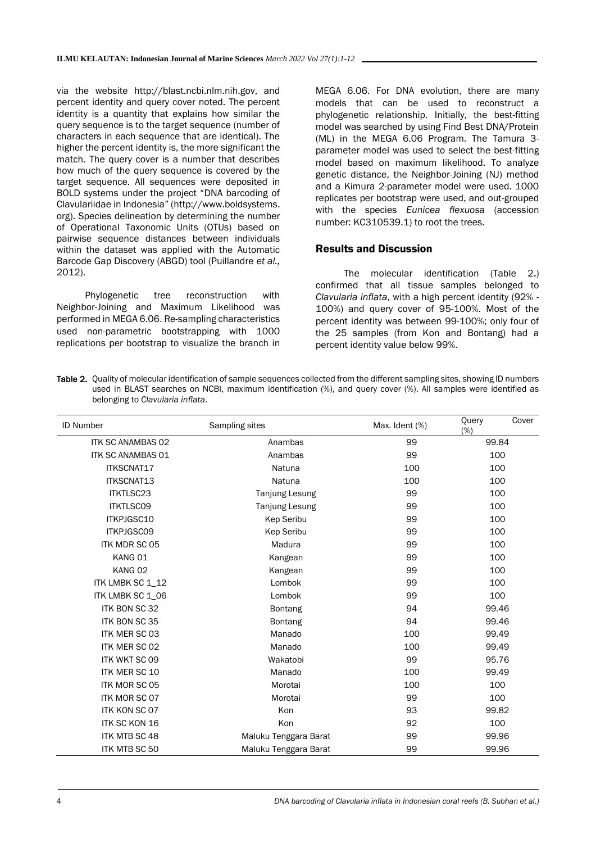via the website http://blast.ncbi.nlm.nih.gov, and percent identity and query cover noted. The percent identity is a quantity that explains how similar the query sequence is to the target sequence (number of characters in each sequence that are identical). The higher the percent identity is, the more significant the match. The query cover is a number that describes how much of the query sequence is covered by the target sequence. All sequences were deposited in BOLD systems under the project "DNA barcoding of Clavulariidae in Indonesia" (http://www.boldsystems. org). Species delineation by determining the number of Operational Taxonomic Units (OTUs) based on pairwise sequence distances between individuals within the dataset was applied with the Automatic Barcode Gap Discovery (ABGD) tool (Puillandre *et al.,* 2012).

Phylogenetic tree reconstruction with Neighbor-Joining and Maximum Likelihood was performed in MEGA 6.06. Re-sampling characteristics used non-parametric bootstrapping with 1000 replications per bootstrap to visualize the branch in

MEGA 6.06. For DNA evolution, there are many models that can be used to reconstruct a phylogenetic relationship. Initially, the best-fitting model was searched by using Find Best DNA/Protein (ML) in the MEGA 6.06 Program. The Tamura 3 parameter model was used to select the best-fitting model based on maximum likelihood. To analyze genetic distance, the Neighbor-Joining (NJ) method and a Kimura 2-parameter model were used. 1000 replicates per bootstrap were used, and out-grouped with the species *Eunicea flexuosa* (accession number: KC310539.1) to root the trees.

### Results and Discussion

The molecular identification (Table 2.) confirmed that all tissue samples belonged to *Clavularia inflata*, with a high percent identity (92% - 100%) and query cover of 95-100%. Most of the percent identity was between 99-100%; only four of the 25 samples (from Kon and Bontang) had a percent identity value below 99%.

Table 2. Quality of molecular identification of sample sequences collected from the different sampling sites, showing ID numbers used in BLAST searches on NCBI, maximum identification (%), and query cover (%). All samples were identified as belonging to *Clavularia inflata*.

| <b>ID Number</b>         | Sampling sites        | Max. Ident (%) | Cover<br>Ouery<br>(%) |
|--------------------------|-----------------------|----------------|-----------------------|
| <b>ITK SC ANAMBAS 02</b> | Anambas               | 99             | 99.84                 |
| <b>ITK SC ANAMBAS 01</b> | Anambas               | 99             | 100                   |
| ITKSCNAT17               | Natuna                | 100            | 100                   |
| ITKSCNAT13               | Natuna                | 100            | 100                   |
| ITKTLSC23                | <b>Tanjung Lesung</b> | 99             | 100                   |
| <b>ITKTLSCO9</b>         | <b>Tanjung Lesung</b> | 99             | 100                   |
| ITKPJGSC10               | <b>Kep Seribu</b>     | 99             | 100                   |
| <b>ITKPJGSCO9</b>        | Kep Seribu            | 99             | 100                   |
| <b>ITK MDR SC 05</b>     | Madura                | 99             | 100                   |
| KANG 01                  | Kangean               | 99             | 100                   |
| KANG 02                  | Kangean               | 99             | 100                   |
| ITK LMBK SC 1_12         | Lombok                | 99             | 100                   |
| ITK LMBK SC 1_06         | Lombok                | 99             | 100                   |
| <b>ITK BON SC 32</b>     | <b>Bontang</b>        | 94             | 99.46                 |
| <b>ITK BON SC 35</b>     | Bontang               | 94             | 99.46                 |
| <b>ITK MER SC 03</b>     | Manado                | 100            | 99.49                 |
| ITK MER SC 02            | Manado                | 100            | 99.49                 |
| <b>ITK WKT SC 09</b>     | Wakatobi              | 99             | 95.76                 |
| <b>ITK MER SC 10</b>     | Manado                | 100            | 99.49                 |
| ITK MOR SC 05            | Morotai               | 100            | 100                   |
| ITK MOR SC 07            | Morotai               | 99             | 100                   |
| <b>ITK KON SC 07</b>     | Kon                   | 93             | 99.82                 |
| <b>ITK SC KON 16</b>     | Kon                   | 92             | 100                   |
| <b>ITK MTB SC 48</b>     | Maluku Tenggara Barat | 99             | 99.96                 |
| ITK MTB SC 50            | Maluku Tenggara Barat | 99             | 99.96                 |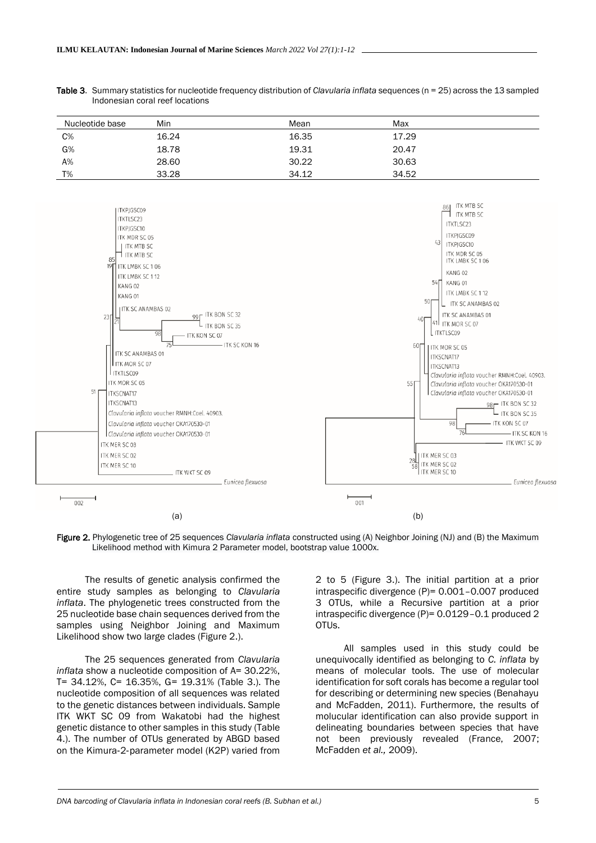| Table 3. Summary statistics for nucleotide frequency distribution of Clavularia inflata sequences (n = 25) across the 13 sampled |
|----------------------------------------------------------------------------------------------------------------------------------|
| Indonesian coral reef locations                                                                                                  |

| Nucleotide base | Min   | Mean  | Max   |
|-----------------|-------|-------|-------|
| $C\%$           | 16.24 | 16.35 | 17.29 |
| G%              | 18.78 | 19.31 | 20.47 |
| A%              | 28.60 | 30.22 | 30.63 |
| T%              | 33.28 | 34.12 | 34.52 |



Figure 2. Phylogenetic tree of 25 sequences *Clavularia inflata* constructed using (A) Neighbor Joining (NJ) and (B) the Maximum Likelihood method with Kimura 2 Parameter model, bootstrap value 1000x.

The results of genetic analysis confirmed the entire study samples as belonging to *Clavularia inflata*. The phylogenetic trees constructed from the 25 nucleotide base chain sequences derived from the samples using Neighbor Joining and Maximum Likelihood show two large clades (Figure 2.).

The 25 sequences generated from *Clavularia inflata* show a nucleotide composition of A= 30.22%, T= 34.12%, C= 16.35%, G= 19.31% (Table 3.). The nucleotide composition of all sequences was related to the genetic distances between individuals. Sample ITK WKT SC 09 from Wakatobi had the highest genetic distance to other samples in this study (Table 4.). The number of OTUs generated by ABGD based on the Kimura‐2‐parameter model (K2P) varied from

2 to 5 (Figure 3.). The initial partition at a prior intraspecific divergence (P)= 0.001–0.007 produced 3 OTUs, while a Recursive partition at a prior intraspecific divergence (P)= 0.0129–0.1 produced 2 OTUs.

All samples used in this study could be unequivocally identified as belonging to *C. inflata* by means of molecular tools. The use of molecular identification for soft corals has become a regular tool for describing or determining new species (Benahayu and McFadden, 2011). Furthermore, the results of molucular identification can also provide support in delineating boundaries between species that have not been previously revealed (France, 2007; McFadden *et al.,* 2009).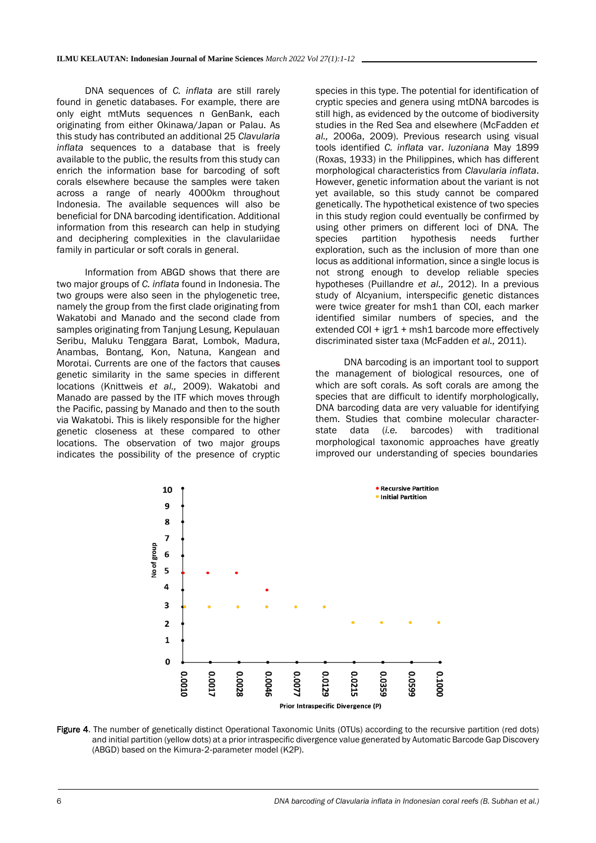DNA sequences of *C. inflata* are still rarely found in genetic databases. For example, there are only eight mtMuts sequences n GenBank, each originating from either Okinawa/Japan or Palau. As this study has contributed an additional 25 *Clavularia inflata* sequences to a database that is freely available to the public, the results from this study can enrich the information base for barcoding of soft corals elsewhere because the samples were taken across a range of nearly 4000km throughout Indonesia. The available sequences will also be beneficial for DNA barcoding identification. Additional information from this research can help in studying and deciphering complexities in the clavulariidae family in particular or soft corals in general.

Information from ABGD shows that there are two major groups of *C. inflata* found in Indonesia. The two groups were also seen in the phylogenetic tree, namely the group from the first clade originating from Wakatobi and Manado and the second clade from samples originating from Tanjung Lesung, Kepulauan Seribu, Maluku Tenggara Barat, Lombok, Madura, Anambas, Bontang, Kon, Natuna, Kangean and Morotai. Currents are one of the factors that causes genetic similarity in the same species in different locations (Knittweis *et al.,* 2009). Wakatobi and Manado are passed by the ITF which moves through the Pacific, passing by Manado and then to the south via Wakatobi. This is likely responsible for the higher genetic closeness at these compared to other locations. The observation of two major groups indicates the possibility of the presence of cryptic

species in this type. The potential for identification of cryptic species and genera using mtDNA barcodes is still high, as evidenced by the outcome of biodiversity studies in the Red Sea and elsewhere (McFadden *et al.,* 2006a, 2009). Previous research using visual tools identified *C. inflata* var. *luzoniana* May 1899 (Roxas, 1933) in the Philippines, which has different morphological characteristics from *Clavularia inflata*. However, genetic information about the variant is not yet available, so this study cannot be compared genetically. The hypothetical existence of two species in this study region could eventually be confirmed by using other primers on different loci of DNA. The species partition hypothesis needs further exploration, such as the inclusion of more than one locus as additional information, since a single locus is not strong enough to develop reliable species hypotheses (Puillandre *et al.,* 2012). In a previous study of Alcyanium, interspecific genetic distances were twice greater for msh1 than COI, each marker identified similar numbers of species, and the extended COI + igr1 + msh1 barcode more effectively discriminated sister taxa (McFadden *et al.,* 2011).

DNA barcoding is an important tool to support the management of biological resources, one of which are soft corals. As soft corals are among the species that are difficult to identify morphologically, DNA barcoding data are very valuable for identifying them. Studies that combine molecular characterstate data (*i.e.* barcodes) with traditional morphological taxonomic approaches have greatly improved our understanding of species boundaries



Figure 4. The number of genetically distinct Operational Taxonomic Units (OTUs) according to the recursive partition (red dots) and initial partition (yellow dots) at a prior intraspecific divergence value generated by Automatic Barcode Gap Discovery (ABGD) based on the Kimura‐2‐parameter model (K2P).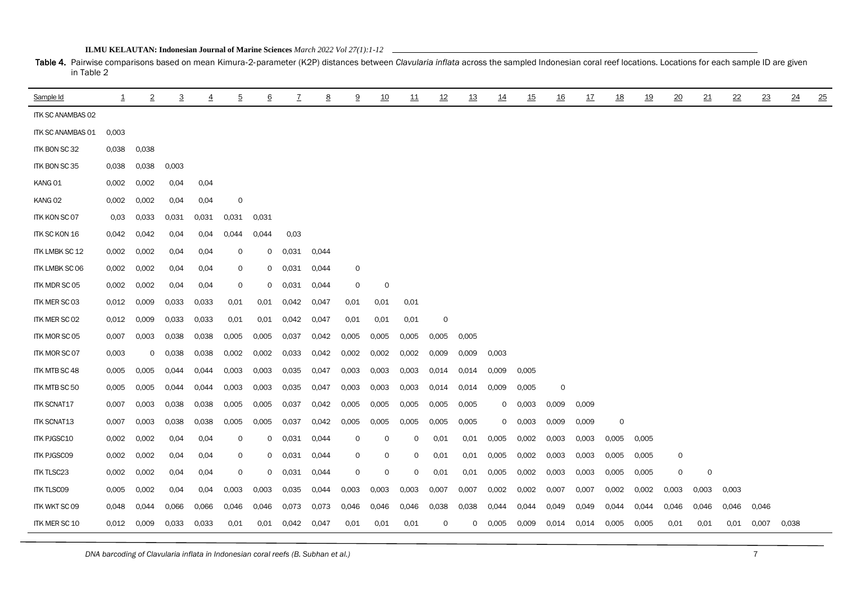| <b>ILMU KELAUTAN: Indonesian Journal of Marine Sciences</b> March 2022 Vol 27(1):1-12 |  |
|---------------------------------------------------------------------------------------|--|
|---------------------------------------------------------------------------------------|--|

Table 4. Pairwise comparisons based on mean Kimura-2-parameter (K2P) distances between *Clavularia inflata* across the sampled Indonesian coral reef locations. Locations for each sample ID are given in Table 2

| Sample Id                | $\overline{1}$ | $\overline{2}$ | 3     | 4     | $\overline{5}$ | 6            | $\overline{7}$ | 8     | 9     | 10    | 11    | 12       | 13    | 14       | 15    | <u>16</u> | 17    | 18      | <u>19</u> | 20    | 21          | $^{22}$ | 23    | 24    | 25 |
|--------------------------|----------------|----------------|-------|-------|----------------|--------------|----------------|-------|-------|-------|-------|----------|-------|----------|-------|-----------|-------|---------|-----------|-------|-------------|---------|-------|-------|----|
| <b>ITK SC ANAMBAS 02</b> |                |                |       |       |                |              |                |       |       |       |       |          |       |          |       |           |       |         |           |       |             |         |       |       |    |
| ITK SC ANAMBAS 01        | 0,003          |                |       |       |                |              |                |       |       |       |       |          |       |          |       |           |       |         |           |       |             |         |       |       |    |
| ITK BON SC 32            | 0,038          | 0,038          |       |       |                |              |                |       |       |       |       |          |       |          |       |           |       |         |           |       |             |         |       |       |    |
| ITK BON SC 35            | 0,038          | 0.038          | 0,003 |       |                |              |                |       |       |       |       |          |       |          |       |           |       |         |           |       |             |         |       |       |    |
| KANG 01                  | 0,002          | 0,002          | 0,04  | 0,04  |                |              |                |       |       |       |       |          |       |          |       |           |       |         |           |       |             |         |       |       |    |
| KANG 02                  | 0,002          | 0.002          | 0.04  | 0.04  | 0              |              |                |       |       |       |       |          |       |          |       |           |       |         |           |       |             |         |       |       |    |
| <b>ITK KON SC 07</b>     | 0,03           | 0.033          | 0.031 | 0.031 | 0.031          | 0,031        |                |       |       |       |       |          |       |          |       |           |       |         |           |       |             |         |       |       |    |
| ITK SC KON 16            | 0,042          | 0,042          | 0.04  | 0.04  | 0.044          | 0.044        | 0,03           |       |       |       |       |          |       |          |       |           |       |         |           |       |             |         |       |       |    |
| ITK LMBK SC 12           | 0,002          | 0,002          | 0.04  | 0.04  | O              | $\circ$      | 0,031          | 0,044 |       |       |       |          |       |          |       |           |       |         |           |       |             |         |       |       |    |
| <b>ITK LMBK SC 06</b>    | 0,002          | 0,002          | 0,04  | 0.04  | 0              | $\circ$      | 0,031          | 0,044 | 0     |       |       |          |       |          |       |           |       |         |           |       |             |         |       |       |    |
| ITK MDR SC 05            | 0,002          | 0,002          | 0,04  | 0,04  | 0              | $\circ$      | 0.031          | 0,044 | 0     | 0     |       |          |       |          |       |           |       |         |           |       |             |         |       |       |    |
| ITK MER SC 03            | 0,012          | 0,009          | 0.033 | 0,033 | 0,01           | 0.01         | 0,042          | 0,047 | 0,01  | 0.01  | 0,01  |          |       |          |       |           |       |         |           |       |             |         |       |       |    |
| <b>ITK MER SC 02</b>     | 0.012          | 0.009          | 0.033 | 0.033 | 0,01           | 0.01         | 0,042          | 0,047 | 0.01  | 0.01  | 0,01  | $\Omega$ |       |          |       |           |       |         |           |       |             |         |       |       |    |
| ITK MOR SC 05            | 0,007          | 0,003          | 0.038 | 0.038 | 0,005          | 0,005        | 0,037          | 0,042 | 0,005 | 0,005 | 0,005 | 0,005    | 0,005 |          |       |           |       |         |           |       |             |         |       |       |    |
| <b>ITK MOR SC 07</b>     | 0,003          | $\mathbf 0$    | 0,038 | 0,038 | 0,002          | 0.002        | 0,033          | 0,042 | 0,002 | 0,002 | 0,002 | 0,009    | 0,009 | 0,003    |       |           |       |         |           |       |             |         |       |       |    |
| <b>ITK MTB SC 48</b>     | 0,005          | 0,005          | 0.044 | 0,044 | 0,003          | 0,003        | 0,035          | 0,047 | 0,003 | 0,003 | 0,003 | 0,014    | 0,014 | 0,009    | 0,005 |           |       |         |           |       |             |         |       |       |    |
| ITK MTB SC 50            | 0,005          | 0,005          | 0.044 | 0,044 | 0,003          | 0,003        | 0,035          | 0,047 | 0,003 | 0,003 | 0,003 | 0,014    | 0,014 | 0,009    | 0,005 | 0         |       |         |           |       |             |         |       |       |    |
| <b>ITK SCNAT17</b>       | 0,007          | 0,003          | 0.038 | 0.038 | 0,005          | 0,005        | 0,037          | 0,042 | 0,005 | 0,005 | 0,005 | 0,005    | 0,005 | 0        | 0,003 | 0,009     | 0,009 |         |           |       |             |         |       |       |    |
| ITK SCNAT13              | 0,007          | 0.003          | 0.038 | 0,038 | 0,005          | 0.005        | 0.037          | 0.042 | 0,005 | 0.005 | 0,005 | 0,005    | 0,005 | $\Omega$ | 0,003 | 0,009     | 0,009 | $\circ$ |           |       |             |         |       |       |    |
| <b>ITK PJGSC10</b>       | 0,002          | 0,002          | 0.04  | 0.04  | 0              | $\mathsf{o}$ | 0.031          | 0.044 | 0     | 0     | 0     | 0.01     | 0.01  | 0,005    | 0,002 | 0,003     | 0,003 | 0.005   | 0.005     |       |             |         |       |       |    |
| <b>ITK PJGSCO9</b>       | 0,002          | 0,002          | 0.04  | 0.04  | 0              | $\circ$      | 0,031          | 0.044 | 0     | 0     | 0     | 0.01     | 0.01  | 0,005    | 0,002 | 0,003     | 0,003 | 0.005   | 0.005     | 0     |             |         |       |       |    |
| <b>ITK TLSC23</b>        | 0,002          | 0,002          | 0.04  | 0.04  | $\mathsf{O}$   | $\circ$      | 0,031          | 0,044 | 0     | 0     | 0     | 0.01     | 0.01  | 0,005    | 0,002 | 0,003     | 0,003 | 0,005   | 0,005     | 0     | $\mathbf 0$ |         |       |       |    |
| <b>ITK TLSCO9</b>        | 0,005          | 0,002          | 0.04  | 0.04  | 0,003          | 0,003        | 0,035          | 0,044 | 0,003 | 0,003 | 0,003 | 0,007    | 0,007 | 0,002    | 0,002 | 0,007     | 0,007 | 0,002   | 0,002     | 0,003 | 0,003       | 0.003   |       |       |    |
| ITK WKT SC 09            | 0,048          | 0.044          | 0,066 | 0,066 | 0,046          | 0,046        | 0,073          | 0,073 | 0,046 | 0,046 | 0,046 | 0,038    | 0,038 | 0,044    | 0,044 | 0,049     | 0,049 | 0,044   | 0,044     | 0,046 | 0,046       | 0,046   | 0,046 |       |    |
| ITK MER SC 10            | 0,012          | 0,009          | 0.033 | 0.033 | 0.01           | 0.01         | 0,042          | 0,047 | 0.01  | 0.01  | 0,01  | 0        | 0     | 0,005    | 0,009 | 0,014     | 0,014 | 0,005   | 0,005     | 0.01  | 0.01        | 0.01    | 0,007 | 0,038 |    |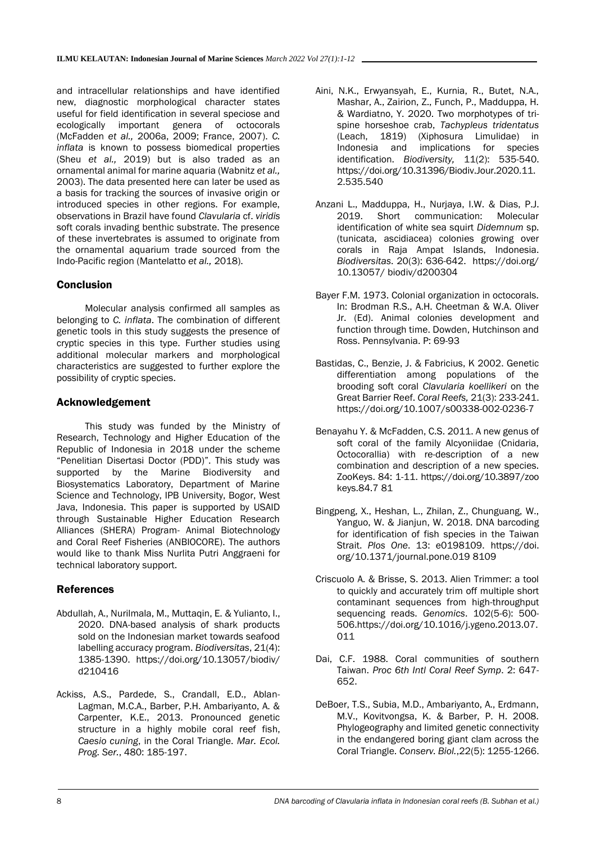and intracellular relationships and have identified new, diagnostic morphological character states useful for field identification in several speciose and ecologically important genera of octocorals (McFadden *et al.,* 2006a, 2009; France, 2007). *C. inflata* is known to possess biomedical properties (Sheu *et al.,* 2019) but is also traded as an ornamental animal for marine aquaria (Wabnitz *et al.,* 2003). The data presented here can later be used as a basis for tracking the sources of invasive origin or introduced species in other regions. For example, observations in Brazil have found *Clavularia* cf. *viridis* soft corals invading benthic substrate. The presence of these invertebrates is assumed to originate from the ornamental aquarium trade sourced from the Indo-Pacific region (Mantelatto *et al.,* 2018).

# **Conclusion**

Molecular analysis confirmed all samples as belonging to *C. inflata*. The combination of different genetic tools in this study suggests the presence of cryptic species in this type. Further studies using additional molecular markers and morphological characteristics are suggested to further explore the possibility of cryptic species.

# Acknowledgement

This study was funded by the Ministry of Research, Technology and Higher Education of the Republic of Indonesia in 2018 under the scheme "Penelitian Disertasi Doctor (PDD)". This study was supported by the Marine Biodiversity and Biosystematics Laboratory, Department of Marine Science and Technology, IPB University, Bogor, West Java, Indonesia. This paper is supported by USAID through Sustainable Higher Education Research Alliances (SHERA) Program- Animal Biotechnology and Coral Reef Fisheries (ANBIOCORE). The authors would like to thank Miss Nurlita Putri Anggraeni for technical laboratory support.

# References

- Abdullah, A., Nurilmala, M., Muttaqin, E. & Yulianto, I., 2020. DNA-based analysis of shark products sold on the Indonesian market towards seafood labelling accuracy program. *Biodiversitas*, 21(4): 1385-1390. https://doi.org/10.13057/biodiv/ d210416
- Ackiss, A.S., Pardede, S., Crandall, E.D., Ablan-Lagman, M.C.A., Barber, P.H. Ambariyanto, A. & Carpenter, K.E., 2013. Pronounced genetic structure in a highly mobile coral reef fish, *Caesio cuning*, in the Coral Triangle. *Mar. Ecol. Prog. Ser.*, 480: 185-197.
- Aini, N.K., Erwyansyah, E., Kurnia, R., Butet, N.A., Mashar, A., Zairion, Z., Funch, P., Madduppa, H. & Wardiatno, Y. 2020. Two morphotypes of trispine horseshoe crab, *Tachypleus tridentatus* (Leach, 1819) (Xiphosura Limulidae) in Indonesia and implications for species identification. *Biodiversity,* 11(2): 535-540. https://doi.org/10.31396/Biodiv.Jour.2020.11. 2.535.540
- Anzani L., Madduppa, H., Nurjaya, I.W. & Dias, P.J. 2019. Short communication: Molecular identification of white sea squirt *Didemnum* sp. (tunicata, ascidiacea) colonies growing over corals in Raja Ampat Islands, Indonesia. *Biodiversitas*. 20(3): 636-642. [https://doi.org/](https://doi.org/%2010.13057/%20biodiv/d200304)  10.13057/ [biodiv/d200304](https://doi.org/%2010.13057/%20biodiv/d200304)
- Bayer F.M. 1973. Colonial organization in octocorals. In: Brodman R.S., A.H. Cheetman & W.A. Oliver Jr. (Ed). Animal colonies development and function through time. Dowden, Hutchinson and Ross. Pennsylvania. P: 69-93
- Bastidas, C., Benzie, J. & Fabricius, K 2002. Genetic differentiation among populations of the brooding soft coral *Clavularia koellikeri* on the Great Barrier Reef. *Coral Reefs,* 21(3): 233-241. <https://doi.org/10.1007/s00338-002-0236-7>
- Benayahu Y. & McFadden, C.S. 2011. A new genus of soft coral of the family Alcyoniidae (Cnidaria, Octocorallia) with re-description of a new combination and description of a new species. ZooKeys. 84: 1-11. https://doi.org/10.3897/zoo keys.84.7 81
- Bingpeng, X., Heshan, L., Zhilan, Z., Chunguang, W., Yanguo, W. & Jianjun, W. 2018. DNA barcoding for identification of fish species in the Taiwan Strait. *Plos One*. 13: e0198109. https://doi. org/10.1371/journal.pone.019 8109
- Criscuolo A. & Brisse, S. 2013. Alien Trimmer: a tool to quickly and accurately trim off multiple short contaminant sequences from high-throughput sequencing reads. *Genomics*. 102(5-6): 500- 506.https://doi.org/10.1016/j.ygeno.2013.07. 011
- Dai, C.F. 1988. Coral communities of southern Taiwan. *Proc 6th Intl Coral Reef Symp*. 2: 647- 652.
- DeBoer, T.S., Subia, M.D., Ambariyanto, A., Erdmann, M.V., Kovitvongsa, K. & Barber, P. H. 2008. Phylogeography and limited genetic connectivity in the endangered boring giant clam across the Coral Triangle. *Conserv. Biol.*,22(5): 1255-1266.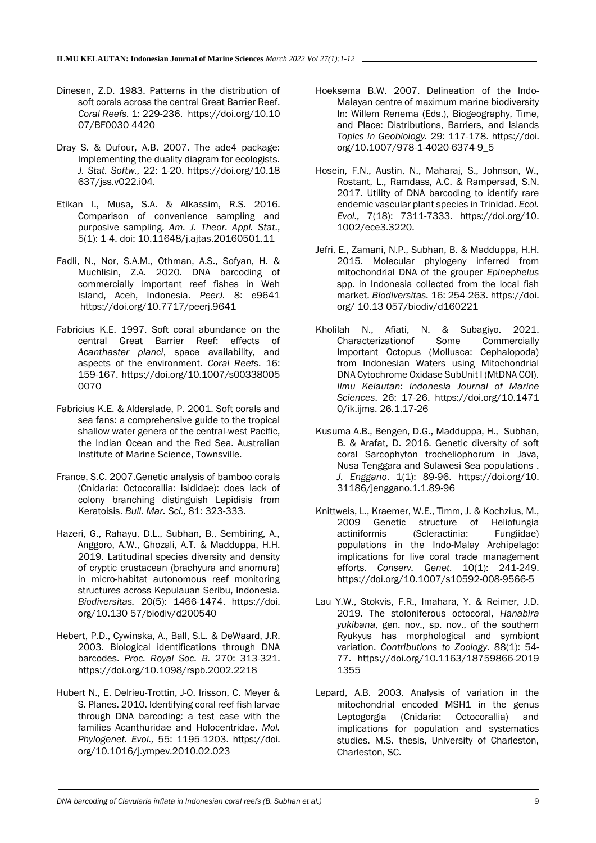- Dinesen, Z.D. 1983. Patterns in the distribution of soft corals across the central Great Barrier Reef. *Coral Reefs.* 1: 229-236. https://doi.org/10.10 07/BF0030 4420
- Dray S. & Dufour, A.B. 2007. The ade4 package: Implementing the duality diagram for ecologists. *J. Stat. Softw.,* 22: 1-20. https://doi.org/10.18 637/jss.v022.i04.
- Etikan I., Musa, S.A. & Alkassim, R.S. 2016. Comparison of convenience sampling and purposive sampling. *Am. J. Theor. Appl. Stat*., 5(1): 1-4. [doi: 10.11648/j.ajtas.20160501.11](https://doi.org/10.11648/j.ajtas.20160501.11)
- Fadli, N., Nor, S.A.M., Othman, A.S., Sofyan, H. & Muchlisin, Z.A. 2020. DNA barcoding of commercially important reef fishes in Weh Island, Aceh, Indonesia. *PeerJ.* 8: e9641 <https://doi.org/10.7717/peerj.9641>
- Fabricius K.E. 1997. Soft coral abundance on the central Great Barrier Reef: effects of *Acanthaster planci*, space availability, and aspects of the environment. *Coral Reefs*. 16: 159-167. https://doi.org/10.1007/s00338005 0070
- Fabricius K.E. & Alderslade, P. 2001. Soft corals and sea fans: a comprehensive guide to the tropical shallow water genera of the central-west Pacific, the Indian Ocean and the Red Sea. Australian Institute of Marine Science, Townsville.
- France, S.C. 2007.Genetic analysis of bamboo corals (Cnidaria: Octocorallia: Isididae): does lack of colony branching distinguish Lepidisis from Keratoisis. *Bull. Mar. Sci.,* 81: 323-333.
- Hazeri, G., Rahayu, D.L., Subhan, B., Sembiring, A., Anggoro, A.W., Ghozali, A.T. & Madduppa, H.H. 2019. Latitudinal species diversity and density of cryptic crustacean (brachyura and anomura) in micro-habitat autonomous reef monitoring structures across Kepulauan Seribu, Indonesia. *Biodiversitas.* 20(5): 1466-1474. https://doi. org/10.130 57/biodiv/d200540
- Hebert, P.D., Cywinska, A., Ball, S.L. & DeWaard, J.R. 2003. Biological identifications through DNA barcodes. *Proc. Royal Soc. B.* 270: 313-321. https://doi.org/10.1098/rspb.2002.2218
- Hubert N., E. Delrieu-Trottin, J-O. Irisson, C. Meyer & S. Planes. 2010. Identifying coral reef fish larvae through DNA barcoding: a test case with the families Acanthuridae and Holocentridae. *Mol. Phylogenet. Evol.,* 55: 1195-1203. https://doi. org/10.1016/j.ympev.2010.02.023
- Hoeksema B.W. 2007. Delineation of the Indo-Malayan centre of maximum marine biodiversity In: Willem Renema (Eds.), Biogeography, Time, and Place: Distributions, Barriers, and Islands *Topics in Geobiology.* 29: 117-178. https://doi. org/10.1007/978-1-4020-6374-9\_5
- Hosein, F.N., Austin, N., Maharaj, S., Johnson, W., Rostant, L., Ramdass, A.C. & Rampersad, S.N. 2017. Utility of DNA barcoding to identify rare endemic vascular plant species in Trinidad. *Ecol. Evol.,* 7(18): 7311-7333. https://doi.org/10. 1002/ece3.3220.
- Jefri, E., Zamani, N.P., Subhan, B. & Madduppa, H.H. 2015. Molecular phylogeny inferred from mitochondrial DNA of the grouper *Epinephelus* spp. in Indonesia collected from the local fish market. *Biodiversitas.* 16: 254-263. https://doi. org/ 10.13 057/biodiv/d160221
- Kholilah N., Afiati, N. & Subagiyo. 2021. Characterizationof Some Commercially Important Octopus (Mollusca: Cephalopoda) from Indonesian Waters using Mitochondrial DNA Cytochrome Oxidase SubUnit I (MtDNA COI). *Ilmu Kelautan: Indonesia Journal of Marine Sciences*. 26: 17-26. https://doi.org/10.1471 0/ik.ijms. 26.1.17-26
- Kusuma A.B., Bengen, D.G., Madduppa, H., Subhan, B. & Arafat, D. 2016. Genetic diversity of soft coral Sarcophyton trocheliophorum in Java, Nusa Tenggara and Sulawesi Sea populations . *J. Enggano*. 1(1): 89-96. [https://doi.org/10.](https://doi.org/10.%2031186/jenggano.1.1.89-96) [31186/jenggano.1.1.89-96](https://doi.org/10.%2031186/jenggano.1.1.89-96)
- Knittweis, L., Kraemer, W.E., Timm, J. & Kochzius, M., 2009 Genetic structure of Heliofungia actiniformis (Scleractinia: Fungiidae) populations in the Indo-Malay Archipelago: implications for live coral trade management efforts. *Conserv. Genet.* 10(1): 241-249. https://doi.org/10.1007/s10592-008-9566-5
- Lau Y.W., Stokvis, F.R., Imahara, Y. & Reimer, J.D. 2019. The stoloniferous octocoral, *Hanabira yukibana*, gen. nov., sp. nov., of the southern Ryukyus has morphological and symbiont variation. *Contributions to Zoology*. 88(1): 54- 77. https://doi.org/10.1163/18759866-2019 1355
- Lepard, A.B. 2003. Analysis of variation in the mitochondrial encoded MSH1 in the genus Leptogorgia (Cnidaria: Octocorallia) and implications for population and systematics studies. M.S. thesis, University of Charleston, Charleston, SC.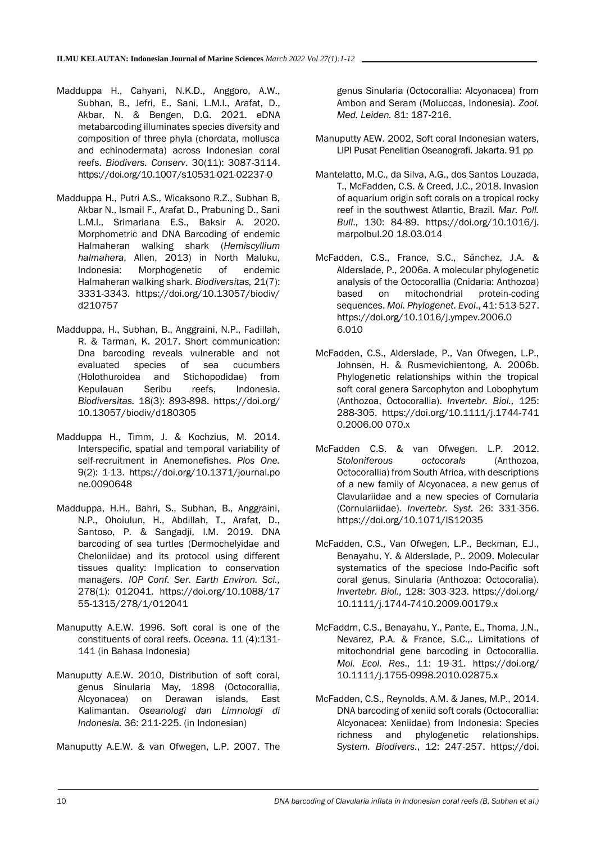- Madduppa H., Cahyani, N.K.D., Anggoro, A.W., Subhan, B., Jefri, E., Sani, L.M.I., Arafat, D., Akbar, N. & Bengen, D.G. 2021. eDNA metabarcoding illuminates species diversity and composition of three phyla (chordata, mollusca and echinodermata) across Indonesian coral reefs. *Biodivers. Conserv*. 30(11): 3087-3114. <https://doi.org/10.1007/s10531-021-02237-0>
- Madduppa H., Putri A.S., Wicaksono R.Z., Subhan B, Akbar N., Ismail F., Arafat D., Prabuning D., Sani L.M.I., Srimariana E.S., Baksir A. 2020. Morphometric and DNA Barcoding of endemic Halmaheran walking shark (*Hemiscyllium halmahera*, Allen, 2013) in North Maluku, Indonesia: Morphogenetic of endemic Halmaheran walking shark. *Biodiversitas,* 21(7): 3331-3343. https://doi.org/10.13057/biodiv/ d210757
- Madduppa, H., Subhan, B., Anggraini, N.P., Fadillah, R. & Tarman, K. 2017. Short communication: Dna barcoding reveals vulnerable and not evaluated species of sea cucumbers (Holothuroidea and Stichopodidae) from Kepulauan Seribu reefs, Indonesia. *Biodiversitas.* 18(3): 893-898. https://doi.org/ 10.13057/biodiv/d180305
- Madduppa H., Timm, J. & Kochzius, M. 2014. Interspecific, spatial and temporal variability of self-recruitment in Anemonefishes. *Plos One.* 9(2): 1-13. https://doi.org/10.1371/journal.po ne.0090648
- Madduppa, H.H., Bahri, S., Subhan, B., Anggraini, N.P., Ohoiulun, H., Abdillah, T., Arafat, D., Santoso, P. & Sangadji, I.M. 2019. DNA barcoding of sea turtles (Dermochelyidae and Cheloniidae) and its protocol using different tissues quality: Implication to conservation managers. *IOP Conf. Ser. Earth Environ. Sci.,* 278(1): 012041. [https://doi.org/10.1088/17](https://doi.org/10.1088/17%2055-1315/278/1/012041) [55-1315/278/1/012041](https://doi.org/10.1088/17%2055-1315/278/1/012041)
- Manuputty A.E.W. 1996. Soft coral is one of the constituents of coral reefs. *Oceana.* 11 (4):131- 141 (in Bahasa Indonesia)
- Manuputty A.E.W. 2010, Distribution of soft coral, genus Sinularia May, 1898 (Octocorallia, Alcyonacea) on Derawan islands, East Kalimantan. *Oseanologi dan Limnologi di Indonesia.* 36: 211-225. (in Indonesian)
- Manuputty A.E.W. & van Ofwegen, L.P. 2007. The

genus Sinularia (Octocorallia: Alcyonacea) from Ambon and Seram (Moluccas, Indonesia). *Zool. Med. Leiden.* 81: 187-216.

- Manuputty AEW. 2002, Soft coral Indonesian waters, LIPI Pusat Penelitian Oseanografi. Jakarta. 91 pp
- Mantelatto, M.C., da Silva, A.G., dos Santos Louzada, T., McFadden, C.S. & Creed, J.C., 2018. Invasion of aquarium origin soft corals on a tropical rocky reef in the southwest Atlantic, Brazil. *Mar. Poll. Bull*., 130: 84-89. https://doi.org/10.1016/j. marpolbul.20 18.03.014
- McFadden, C.S., France, S.C., Sánchez, J.A. & Alderslade, P., 2006a. A molecular phylogenetic analysis of the Octocorallia (Cnidaria: Anthozoa) based on mitochondrial protein-coding sequences. *Mol. Phylogenet. Evol*., 41: 513-527. https://doi.org/10.1016/j.ympev.2006.0 6.010
- McFadden, C.S., Alderslade, P., Van Ofwegen, L.P., Johnsen, H. & Rusmevichientong, A. 2006b. Phylogenetic relationships within the tropical soft coral genera Sarcophyton and Lobophytum (Anthozoa, Octocorallia). *Invertebr. Biol.,* 125: 288-305. https://doi.org/10.1111/j.1744-741 0.2006.00 070.x
- McFadden C.S. & van Ofwegen. L.P. 2012. *Stoloniferous octocorals* (Anthozoa, Octocorallia) from South Africa, with descriptions of a new family of Alcyonacea, a new genus of Clavulariidae and a new species of Cornularia (Cornulariidae). *Invertebr. Syst.* 26: 331-356. https://doi.org/10.1071/IS12035
- McFadden, C.S., Van Ofwegen, L.P., Beckman, E.J., Benayahu, Y. & Alderslade, P.. 2009. Molecular systematics of the speciose Indo-Pacific soft coral genus, Sinularia (Anthozoa: Octocoralia). *Invertebr. Biol.,* 128: 303-323. https://doi.org/ 10.1111/j.1744-7410.2009.00179.x
- McFaddrn, C.S., Benayahu, Y., Pante, E., Thoma, J.N., Nevarez, P.A. & France, S.C.,. Limitations of mitochondrial gene barcoding in Octocorallia. *Mol. Ecol. Res*., 11: 19-31. https://doi.org/ 10.1111/j.1755-0998.2010.02875.x
- McFadden, C.S., Reynolds, A.M. & Janes, M.P., 2014. DNA barcoding of xeniid soft corals (Octocorallia: Alcyonacea: Xeniidae) from Indonesia: Species richness and phylogenetic relationships. *System. Biodivers.*, 12: 247-257. https://doi.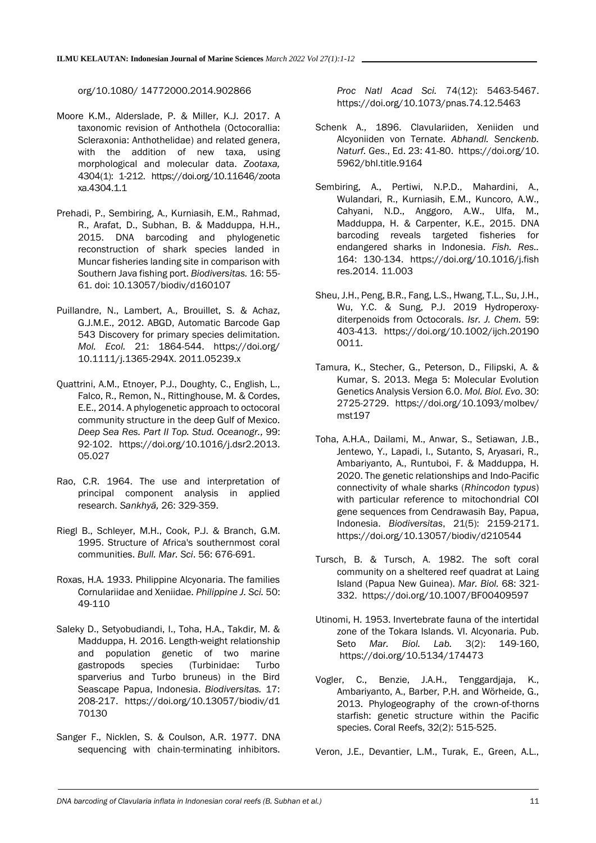### org/10.1080/ 14772000.2014.902866

- Moore K.M., Alderslade, P. & Miller, K.J. 2017. A taxonomic revision of Anthothela (Octocorallia: Scleraxonia: Anthothelidae) and related genera, with the addition of new taxa, using morphological and molecular data. *Zootaxa,* 4304(1): 1-212. https://doi.org/10.11646/zoota xa.4304.1.1
- Prehadi, P., Sembiring, A., Kurniasih, E.M., Rahmad, R., Arafat, D., Subhan, B. & Madduppa, H.H., 2015. DNA barcoding and phylogenetic reconstruction of shark species landed in Muncar fisheries landing site in comparison with Southern Java fishing port. *Biodiversitas.* 16: 55- 61. [doi: 10.13057/biodiv/d160107](https://doi.org/10.13057/biodiv/d160107)
- Puillandre, N., Lambert, A., Brouillet, S. & Achaz, G.J.M.E., 2012. ABGD, Automatic Barcode Gap 543 Discovery for primary species delimitation. *Mol. Ecol.* 21: 1864-544. https://doi.org/ 10.1111/j.1365-294X. 2011.05239.x
- Quattrini, A.M., Etnoyer, P.J., Doughty, C., English, L., Falco, R., Remon, N., Rittinghouse, M. & Cordes, E.E., 2014. A phylogenetic approach to octocoral community structure in the deep Gulf of Mexico. *Deep Sea Res. Part II Top. Stud. Oceanogr.,* 99: 92-102. https://doi.org/10.1016/j.dsr2.2013. 05.027
- Rao, C.R. 1964. The use and interpretation of principal component analysis in applied research. *Sankhyā,* 26: 329-359.
- Riegl B., Schleyer, M.H., Cook, P.J. & Branch, G.M. 1995. Structure of Africa's southernmost coral communities. *Bull. Mar. Sci*. 56: 676-691.
- Roxas, H.A. 1933. Philippine Alcyonaria. The families Cornulariidae and Xeniidae. *Philippine J. Sci.* 50: 49-110
- Saleky D., Setyobudiandi, I., Toha, H.A., Takdir, M. & Madduppa, H. 2016. Length-weight relationship and population genetic of two marine gastropods species (Turbinidae: Turbo sparverius and Turbo bruneus) in the Bird Seascape Papua, Indonesia. *Biodiversitas.* 17: 208-217. https://doi.org/10.13057/biodiv/d1 70130
- Sanger F., Nicklen, S. & Coulson, A.R. 1977. DNA sequencing with chain-terminating inhibitors.

*Proc Natl Acad Sci.* 74(12): 5463-5467. https://doi.org/10.1073/pnas.74.12.5463

- Schenk A., 1896. Clavulariiden, Xeniiden und Alcyoniiden von Ternate. *Abhandl. Senckenb. Naturf. Ges*., Ed. 23: 41-80. https://doi.org/10. 5962/bhl.title.9164
- Sembiring, A., Pertiwi, N.P.D., Mahardini, A., Wulandari, R., Kurniasih, E.M., Kuncoro, A.W., Cahyani, N.D., Anggoro, A.W., Ulfa, M., Madduppa, H. & Carpenter, K.E., 2015. DNA barcoding reveals targeted fisheries for endangered sharks in Indonesia. *Fish. Res..* 164: 130-134. https://doi.org/10.1016/j.fish res.2014. 11.003
- Sheu, J.H., Peng, B.R., Fang, L.S., Hwang, T.L., Su, J.H., Wu, Y.C. & Sung, P.J. 2019 Hydroperoxyditerpenoids from Octocorals. *Isr. J. Chem.* 59: 403-413. https://doi.org/10.1002/ijch.20190 0011.
- Tamura, K., Stecher, G., Peterson, D., Filipski, A. & Kumar, S. 2013. Mega 5: Molecular Evolution Genetics Analysis Version 6.0. *Mol. Biol. Evo*. 30: 2725-2729. https://doi.org/10.1093/molbev/ mst197
- Toha, A.H.A., Dailami, M., Anwar, S., Setiawan, J.B., Jentewo, Y., Lapadi, I., Sutanto, S, Aryasari, R., Ambariyanto, A., Runtuboi, F. & Madduppa, H. 2020. The genetic relationships and Indo-Pacific connectivity of whale sharks (*Rhincodon typus*) with particular reference to mitochondrial COI gene sequences from Cendrawasih Bay, Papua, Indonesia. *Biodiversitas*, 21(5): 2159-2171. https://doi.org/10.13057/biodiv/d210544
- Tursch, B. & Tursch, A. 1982. The soft coral community on a sheltered reef quadrat at Laing Island (Papua New Guinea). *Mar. Biol.* 68: 321- 332. <https://doi.org/10.1007/BF00409597>
- Utinomi, H. 1953. Invertebrate fauna of the intertidal zone of the Tokara Islands. VI. Alcyonaria. Pub. Seto *Mar. Biol. Lab.* 3(2): 149-160, <https://doi.org/10.5134/174473>
- Vogler, C., Benzie, J.A.H., Tenggardjaja, K., Ambariyanto, A., Barber, P.H. and Wörheide, G., 2013. Phylogeography of the crown-of-thorns starfish: genetic structure within the Pacific species. Coral Reefs, 32(2): 515-525.

Veron, J.E., Devantier, L.M., Turak, E., Green, A.L.,